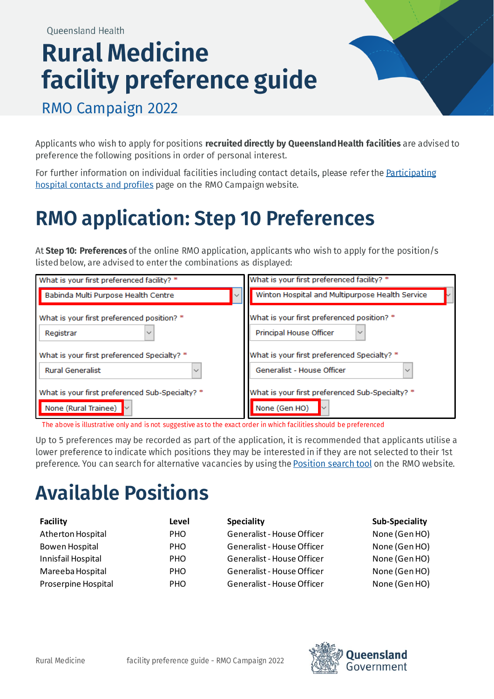## **Rural Medicine** facility preference guide



RMO Campaign 2022

Applicants who wish to apply for positions recruited directly by Queensland Health facilities are advised to preference the following positions in order of personal interest.

For further information on individual facilities including contact details, please refer the Participating hospital contacts and profiles page on the RMO Campaign website.

## **RMO application: Step 10 Preferences**

At Step 10: Preferences of the online RMO application, applicants who wish to apply for the position/s listed below, are advised to enter the combinations as displayed:

| What is your first preferenced facility? *      | What is your first preferenced facility? *      |
|-------------------------------------------------|-------------------------------------------------|
| Babinda Multi Purpose Health Centre             | Winton Hospital and Multipurpose Health Service |
| What is your first preferenced position? *      | What is your first preferenced position? *      |
| Registrar                                       | Principal House Officer                         |
| What is your first preferenced Specialty? *     | What is your first preferenced Specialty? *     |
| <b>Rural Generalist</b><br>$\checkmark$         | Generalist - House Officer                      |
| What is your first preferenced Sub-Specialty? * | What is your first preferenced Sub-Specialty? * |
| None (Rural Trainee)                            | None (Gen HO)                                   |

The above is illustrative only and is not suggestive as to the exact order in which facilities should be preferenced

Up to 5 preferences may be recorded as part of the application, it is recommended that applicants utilise a lower preference to indicate which positions they may be interested in if they are not selected to their 1st preference. You can search for alternative vacancies by using the **Position search tool** on the RMO website.

## **Available Positions**

| Facility            | Level      | <b>Speciality</b>          | Sub-Speciality |
|---------------------|------------|----------------------------|----------------|
| Atherton Hospital   | <b>PHO</b> | Generalist - House Officer | None (Gen HO)  |
| Bowen Hospital      | <b>PHO</b> | Generalist - House Officer | None (Gen HO)  |
| Innisfail Hospital  | <b>PHO</b> | Generalist - House Officer | None (Gen HO)  |
| Mareeba Hospital    | <b>PHO</b> | Generalist - House Officer | None (Gen HO)  |
| Proserpine Hospital | <b>PHO</b> | Generalist - House Officer | None (Gen HO)  |